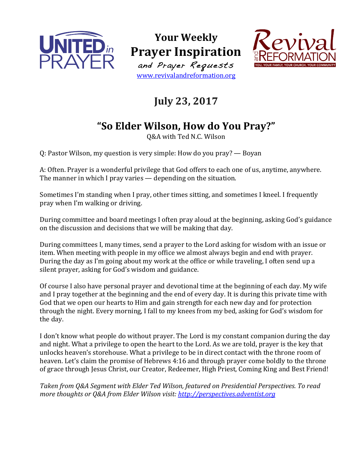

**Your Weekly Prayer Inspiration** and Prayer Requests www.revivalandreformation.org



## **July 23, 2017**

## **"So Elder Wilson, How do You Pray?"**

Q&A with Ted N.C. Wilson

Q: Pastor Wilson, my question is very simple: How do you pray? — Boyan

A: Often. Prayer is a wonderful privilege that God offers to each one of us, anytime, anywhere. The manner in which I pray varies  $-$  depending on the situation.

Sometimes I'm standing when I pray, other times sitting, and sometimes I kneel. I frequently pray when I'm walking or driving.

During committee and board meetings I often pray aloud at the beginning, asking God's guidance on the discussion and decisions that we will be making that day.

During committees I, many times, send a prayer to the Lord asking for wisdom with an issue or item. When meeting with people in my office we almost always begin and end with prayer. During the day as I'm going about my work at the office or while traveling, I often send up a silent prayer, asking for God's wisdom and guidance.

Of course I also have personal prayer and devotional time at the beginning of each day. My wife and I pray together at the beginning and the end of every day. It is during this private time with God that we open our hearts to Him and gain strength for each new day and for protection through the night. Every morning, I fall to my knees from my bed, asking for God's wisdom for the day.

I don't know what people do without prayer. The Lord is my constant companion during the day and night. What a privilege to open the heart to the Lord. As we are told, prayer is the key that unlocks heaven's storehouse. What a privilege to be in direct contact with the throne room of heaven. Let's claim the promise of Hebrews 4:16 and through prayer come boldly to the throne of grace through Jesus Christ, our Creator, Redeemer, High Priest, Coming King and Best Friend!

Taken from Q&A Segment with Elder Ted Wilson, featured on Presidential Perspectives. To read *more thoughts or Q&A from Elder Wilson visit: http://perspectives.adventist.org*